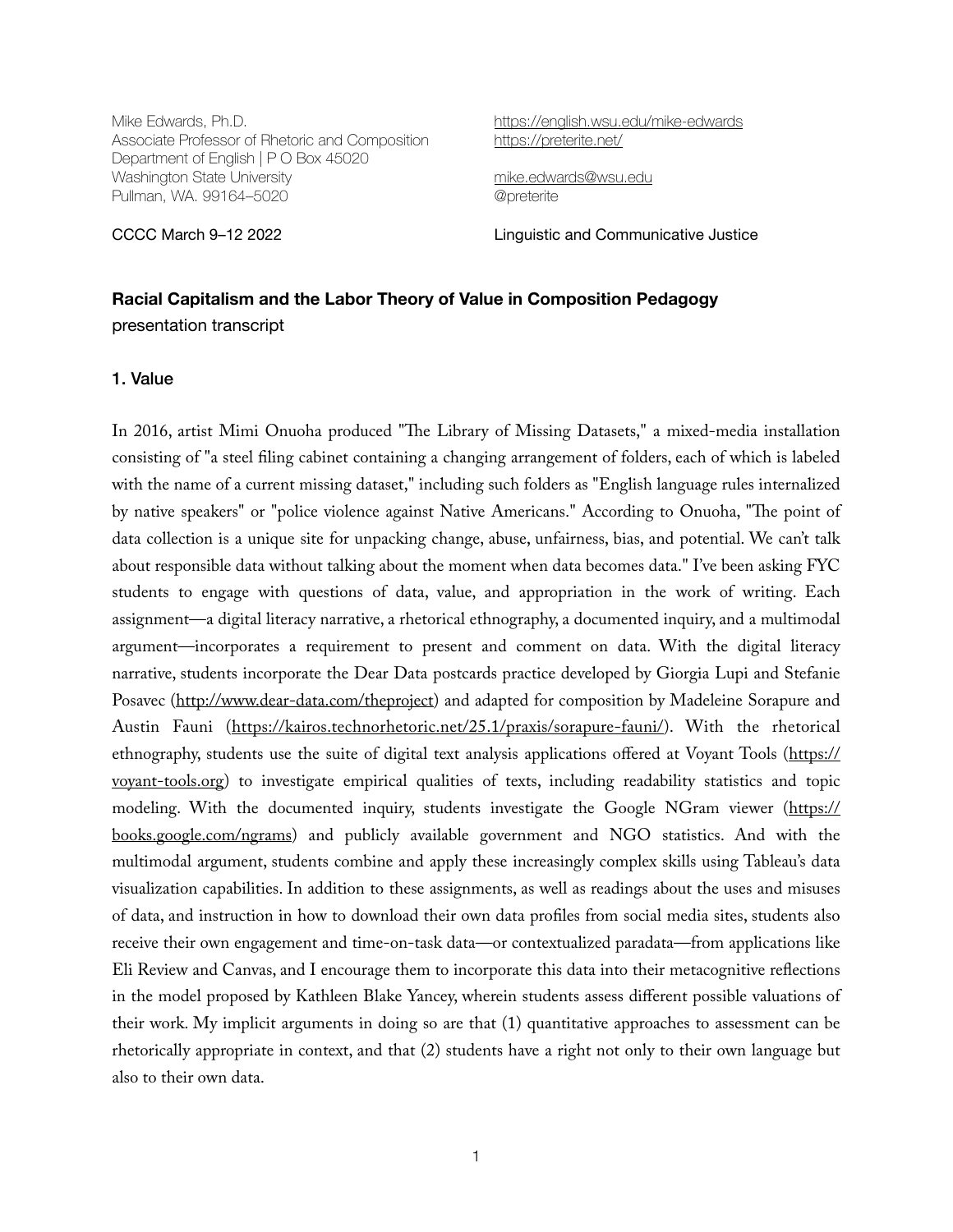Mike Edwards, Ph.D. Associate Professor of Rhetoric and Composition Department of English | P O Box 45020 Washington State University Pullman, WA. 99164–5020

<https://english.wsu.edu/mike-edwards> <https://preterite.net/>

[mike.edwards@wsu.edu](mailto:mike.edwards@wsu.edu) @preterite

CCCC March 9–12 2022 Linguistic and Communicative Justice

# **Racial Capitalism and the Labor Theory of Value in Composition Pedagogy**  presentation transcript

1. Value

In 2016, artist Mimi Onuoha produced "The Library of Missing Datasets," a mixed-media installation consisting of "a steel filing cabinet containing a changing arrangement of folders, each of which is labeled with the name of a current missing dataset," including such folders as "English language rules internalized by native speakers" or "police violence against Native Americans." According to Onuoha, "The point of data collection is a unique site for unpacking change, abuse, unfairness, bias, and potential. We can't talk about responsible data without talking about the moment when data becomes data." I've been asking FYC students to engage with questions of data, value, and appropriation in the work of writing. Each assignment—a digital literacy narrative, a rhetorical ethnography, a documented inquiry, and a multimodal argument—incorporates a requirement to present and comment on data. With the digital literacy narrative, students incorporate the Dear Data postcards practice developed by Giorgia Lupi and Stefanie Posavec [\(http://www.dear-data.com/theproject\)](http://www.dear-data.com/theproject) and adapted for composition by Madeleine Sorapure and Austin Fauni (<https://kairos.technorhetoric.net/25.1/praxis/sorapure-fauni/>). With the rhetorical ethnography, students use the suite of digital text analysis applications offered at Voyant Tools ([https://](https://voyant-tools.org) [voyant-tools.org\)](https://voyant-tools.org) to investigate empirical qualities of texts, including readability statistics and topic modeling. With the documented inquiry, students investigate the Google NGram viewer ([https://](https://books.google.com/ngrams) [books.google.com/ngrams\)](https://books.google.com/ngrams) and publicly available government and NGO statistics. And with the multimodal argument, students combine and apply these increasingly complex skills using Tableau's data visualization capabilities. In addition to these assignments, as well as readings about the uses and misuses of data, and instruction in how to download their own data profiles from social media sites, students also receive their own engagement and time-on-task data—or contextualized paradata—from applications like Eli Review and Canvas, and I encourage them to incorporate this data into their metacognitive reflections in the model proposed by Kathleen Blake Yancey, wherein students assess different possible valuations of their work. My implicit arguments in doing so are that (1) quantitative approaches to assessment can be rhetorically appropriate in context, and that (2) students have a right not only to their own language but also to their own data.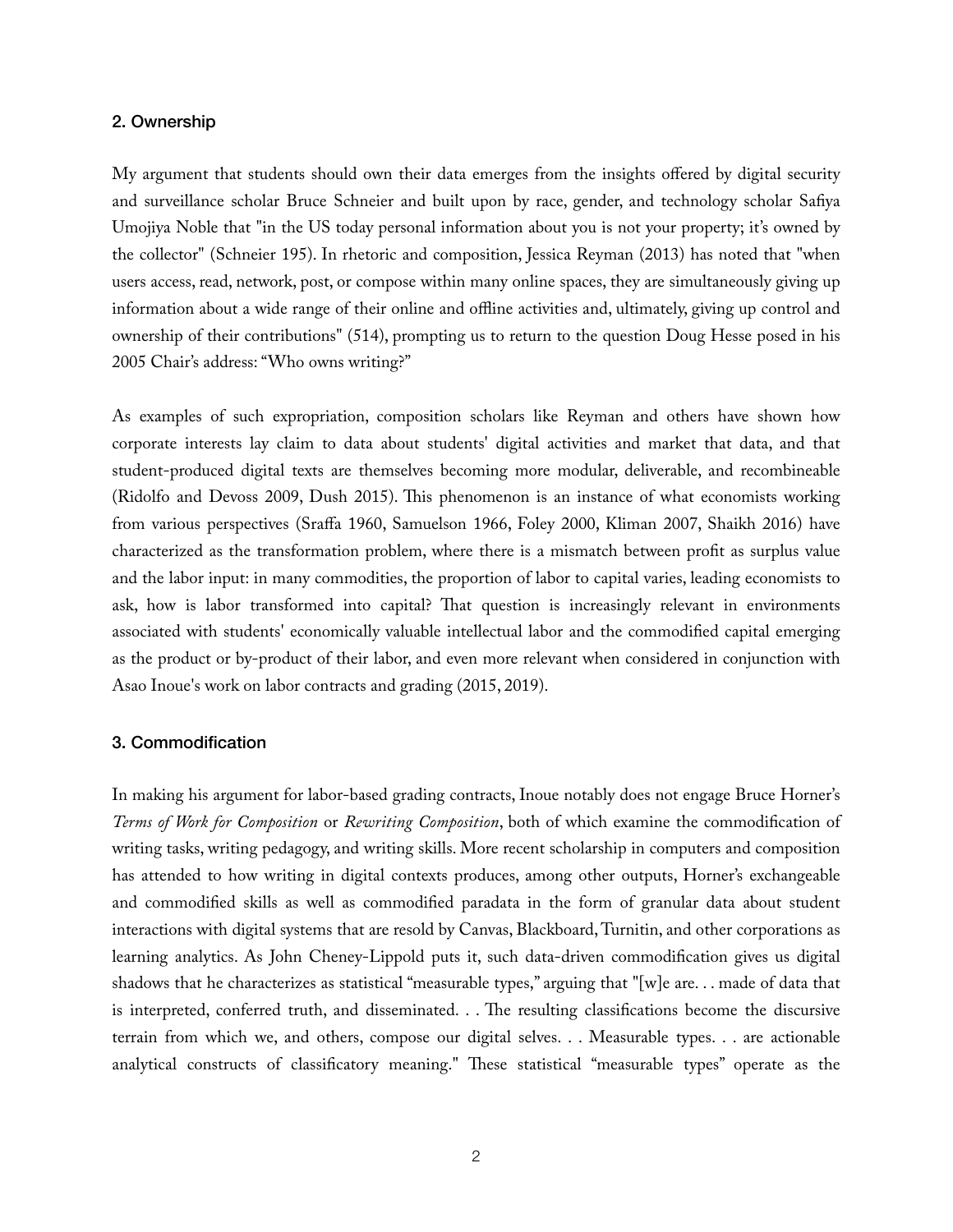#### 2. Ownership

My argument that students should own their data emerges from the insights offered by digital security and surveillance scholar Bruce Schneier and built upon by race, gender, and technology scholar Safiya Umojiya Noble that "in the US today personal information about you is not your property; it's owned by the collector" (Schneier 195). In rhetoric and composition, Jessica Reyman (2013) has noted that "when users access, read, network, post, or compose within many online spaces, they are simultaneously giving up information about a wide range of their online and offline activities and, ultimately, giving up control and ownership of their contributions" (514), prompting us to return to the question Doug Hesse posed in his 2005 Chair's address: "Who owns writing?"

As examples of such expropriation, composition scholars like Reyman and others have shown how corporate interests lay claim to data about students' digital activities and market that data, and that student-produced digital texts are themselves becoming more modular, deliverable, and recombineable (Ridolfo and Devoss 2009, Dush 2015). This phenomenon is an instance of what economists working from various perspectives (Sraffa 1960, Samuelson 1966, Foley 2000, Kliman 2007, Shaikh 2016) have characterized as the transformation problem, where there is a mismatch between profit as surplus value and the labor input: in many commodities, the proportion of labor to capital varies, leading economists to ask, how is labor transformed into capital? That question is increasingly relevant in environments associated with students' economically valuable intellectual labor and the commodified capital emerging as the product or by-product of their labor, and even more relevant when considered in conjunction with Asao Inoue's work on labor contracts and grading (2015, 2019).

## 3. Commodification

In making his argument for labor-based grading contracts, Inoue notably does not engage Bruce Horner's *Terms of Work for Composition* or *Rewriting Composition*, both of which examine the commodification of writing tasks, writing pedagogy, and writing skills. More recent scholarship in computers and composition has attended to how writing in digital contexts produces, among other outputs, Horner's exchangeable and commodified skills as well as commodified paradata in the form of granular data about student interactions with digital systems that are resold by Canvas, Blackboard, Turnitin, and other corporations as learning analytics. As John Cheney-Lippold puts it, such data-driven commodification gives us digital shadows that he characterizes as statistical "measurable types," arguing that "[w]e are. . . made of data that is interpreted, conferred truth, and disseminated. . . The resulting classifications become the discursive terrain from which we, and others, compose our digital selves. . . Measurable types. . . are actionable analytical constructs of classificatory meaning." These statistical "measurable types" operate as the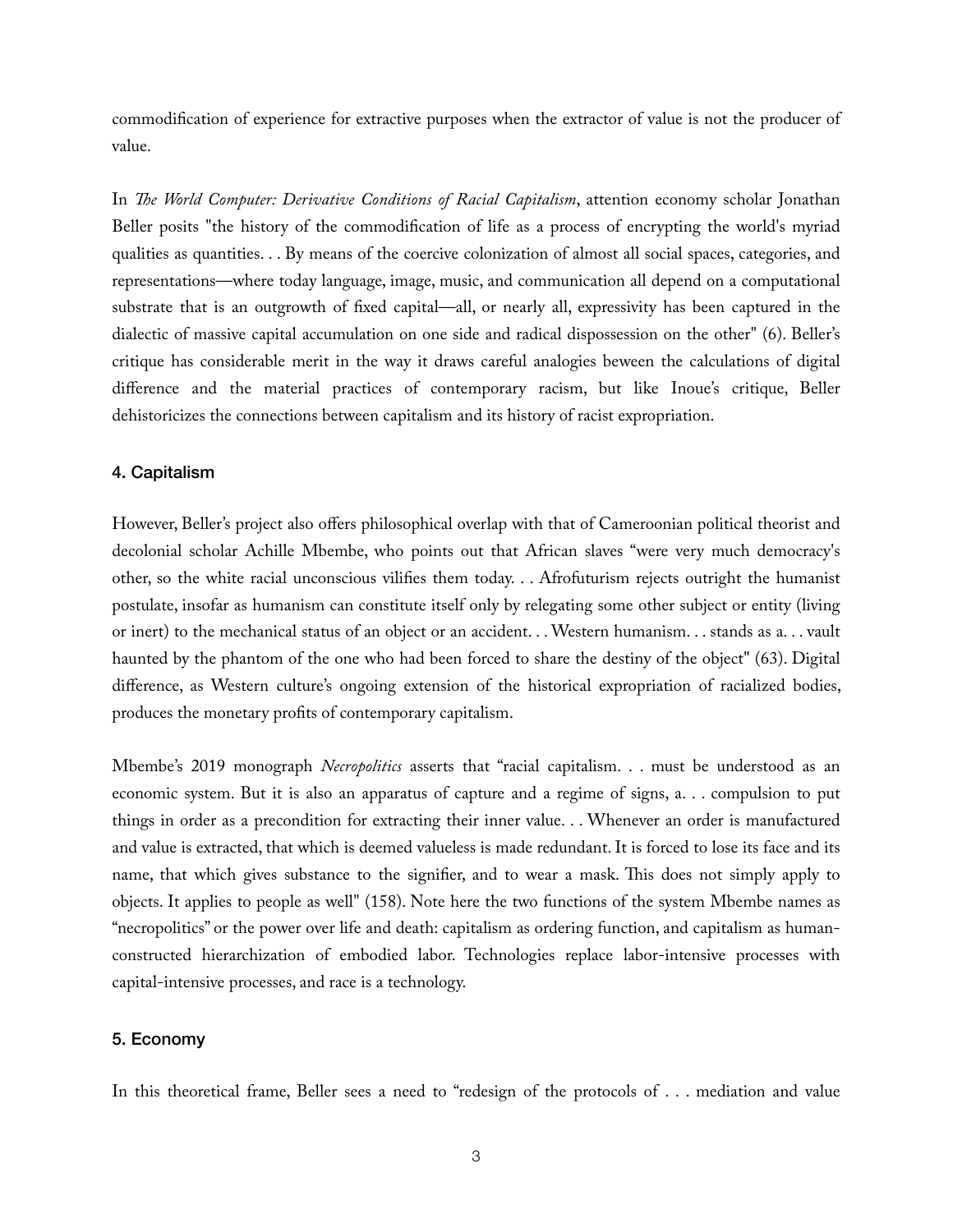commodification of experience for extractive purposes when the extractor of value is not the producer of value.

In *The World Computer: Derivative Conditions of Racial Capitalism*, attention economy scholar Jonathan Beller posits "the history of the commodification of life as a process of encrypting the world's myriad qualities as quantities. . . By means of the coercive colonization of almost all social spaces, categories, and representations—where today language, image, music, and communication all depend on a computational substrate that is an outgrowth of fixed capital—all, or nearly all, expressivity has been captured in the dialectic of massive capital accumulation on one side and radical dispossession on the other" (6). Beller's critique has considerable merit in the way it draws careful analogies beween the calculations of digital difference and the material practices of contemporary racism, but like Inoue's critique, Beller dehistoricizes the connections between capitalism and its history of racist expropriation.

## 4. Capitalism

However, Beller's project also offers philosophical overlap with that of Cameroonian political theorist and decolonial scholar Achille Mbembe, who points out that African slaves "were very much democracy's other, so the white racial unconscious vilifies them today. . . Afrofuturism rejects outright the humanist postulate, insofar as humanism can constitute itself only by relegating some other subject or entity (living or inert) to the mechanical status of an object or an accident. . . Western humanism. . . stands as a. . . vault haunted by the phantom of the one who had been forced to share the destiny of the object" (63). Digital difference, as Western culture's ongoing extension of the historical expropriation of racialized bodies, produces the monetary profits of contemporary capitalism.

Mbembe's 2019 monograph *Necropolitics* asserts that "racial capitalism. . . must be understood as an economic system. But it is also an apparatus of capture and a regime of signs, a. . . compulsion to put things in order as a precondition for extracting their inner value. . . Whenever an order is manufactured and value is extracted, that which is deemed valueless is made redundant. It is forced to lose its face and its name, that which gives substance to the signifier, and to wear a mask. This does not simply apply to objects. It applies to people as well" (158). Note here the two functions of the system Mbembe names as "necropolitics" or the power over life and death: capitalism as ordering function, and capitalism as humanconstructed hierarchization of embodied labor. Technologies replace labor-intensive processes with capital-intensive processes, and race is a technology.

## 5. Economy

In this theoretical frame, Beller sees a need to "redesign of the protocols of . . . mediation and value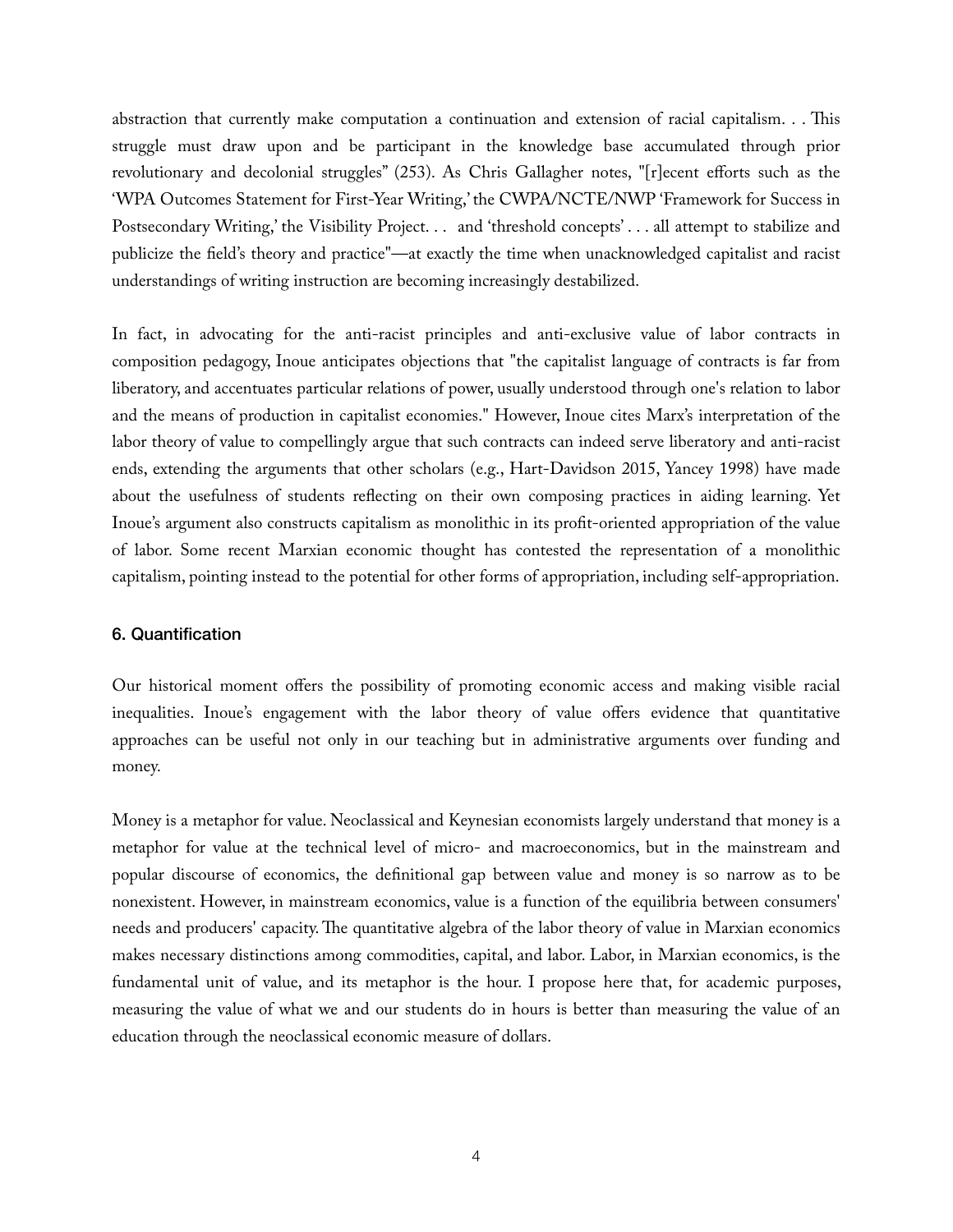abstraction that currently make computation a continuation and extension of racial capitalism. . . This struggle must draw upon and be participant in the knowledge base accumulated through prior revolutionary and decolonial struggles" (253). As Chris Gallagher notes, "[r]ecent efforts such as the 'WPA Outcomes Statement for First-Year Writing,' the CWPA/NCTE/NWP 'Framework for Success in Postsecondary Writing,' the Visibility Project. . . and 'threshold concepts' . . . all attempt to stabilize and publicize the field's theory and practice"—at exactly the time when unacknowledged capitalist and racist understandings of writing instruction are becoming increasingly destabilized.

In fact, in advocating for the anti-racist principles and anti-exclusive value of labor contracts in composition pedagogy, Inoue anticipates objections that "the capitalist language of contracts is far from liberatory, and accentuates particular relations of power, usually understood through one's relation to labor and the means of production in capitalist economies." However, Inoue cites Marx's interpretation of the labor theory of value to compellingly argue that such contracts can indeed serve liberatory and anti-racist ends, extending the arguments that other scholars (e.g., Hart-Davidson 2015, Yancey 1998) have made about the usefulness of students reflecting on their own composing practices in aiding learning. Yet Inoue's argument also constructs capitalism as monolithic in its profit-oriented appropriation of the value of labor. Some recent Marxian economic thought has contested the representation of a monolithic capitalism, pointing instead to the potential for other forms of appropriation, including self-appropriation.

# 6. Quantification

Our historical moment offers the possibility of promoting economic access and making visible racial inequalities. Inoue's engagement with the labor theory of value offers evidence that quantitative approaches can be useful not only in our teaching but in administrative arguments over funding and money.

Money is a metaphor for value. Neoclassical and Keynesian economists largely understand that money is a metaphor for value at the technical level of micro- and macroeconomics, but in the mainstream and popular discourse of economics, the definitional gap between value and money is so narrow as to be nonexistent. However, in mainstream economics, value is a function of the equilibria between consumers' needs and producers' capacity. The quantitative algebra of the labor theory of value in Marxian economics makes necessary distinctions among commodities, capital, and labor. Labor, in Marxian economics, is the fundamental unit of value, and its metaphor is the hour. I propose here that, for academic purposes, measuring the value of what we and our students do in hours is better than measuring the value of an education through the neoclassical economic measure of dollars.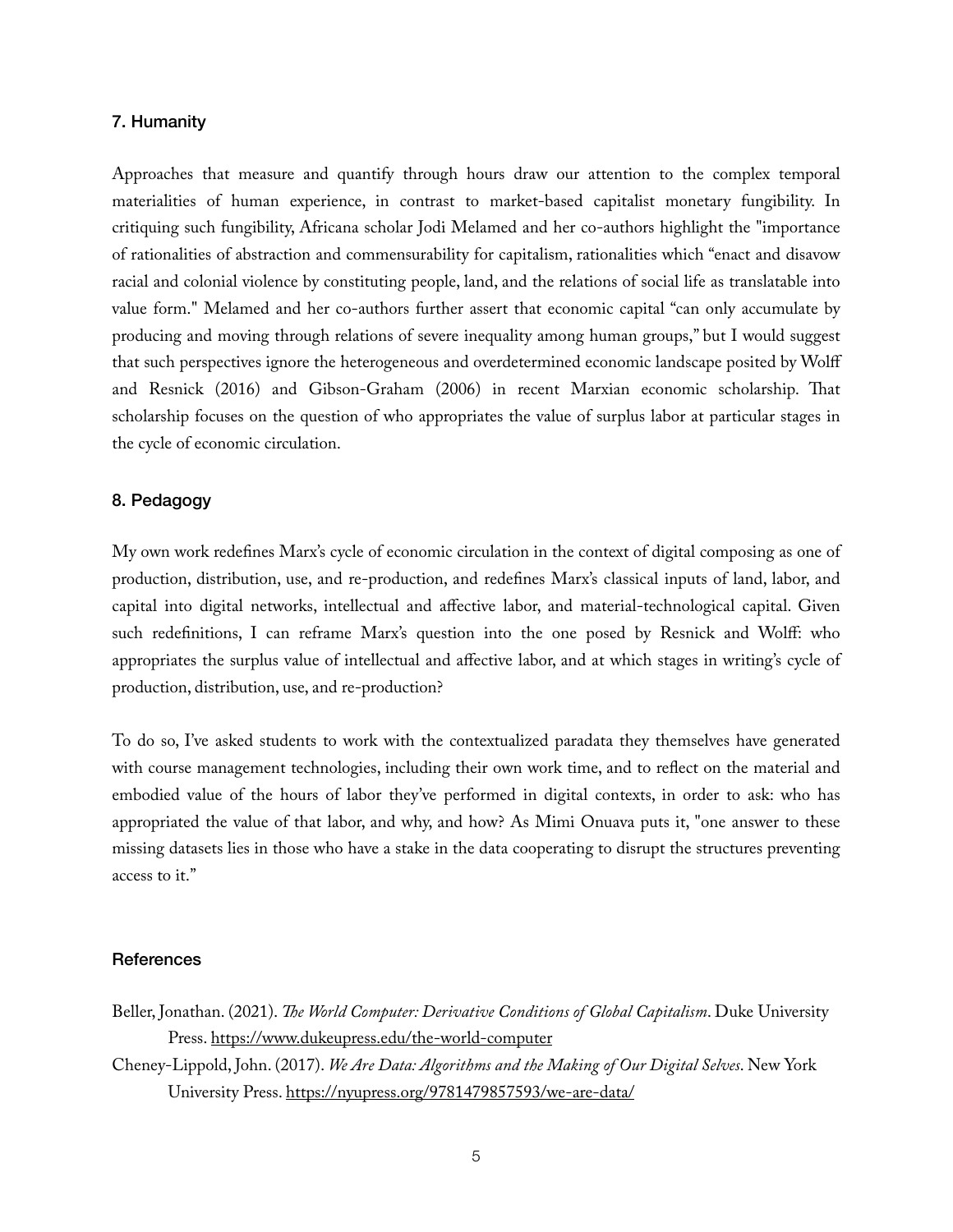## 7. Humanity

Approaches that measure and quantify through hours draw our attention to the complex temporal materialities of human experience, in contrast to market-based capitalist monetary fungibility. In critiquing such fungibility, Africana scholar Jodi Melamed and her co-authors highlight the "importance of rationalities of abstraction and commensurability for capitalism, rationalities which "enact and disavow racial and colonial violence by constituting people, land, and the relations of social life as translatable into value form." Melamed and her co-authors further assert that economic capital "can only accumulate by producing and moving through relations of severe inequality among human groups," but I would suggest that such perspectives ignore the heterogeneous and overdetermined economic landscape posited by Wolff and Resnick (2016) and Gibson-Graham (2006) in recent Marxian economic scholarship. That scholarship focuses on the question of who appropriates the value of surplus labor at particular stages in the cycle of economic circulation.

## 8. Pedagogy

My own work redefines Marx's cycle of economic circulation in the context of digital composing as one of production, distribution, use, and re-production, and redefines Marx's classical inputs of land, labor, and capital into digital networks, intellectual and affective labor, and material-technological capital. Given such redefinitions, I can reframe Marx's question into the one posed by Resnick and Wolff: who appropriates the surplus value of intellectual and affective labor, and at which stages in writing's cycle of production, distribution, use, and re-production?

To do so, I've asked students to work with the contextualized paradata they themselves have generated with course management technologies, including their own work time, and to reflect on the material and embodied value of the hours of labor they've performed in digital contexts, in order to ask: who has appropriated the value of that labor, and why, and how? As Mimi Onuava puts it, "one answer to these missing datasets lies in those who have a stake in the data cooperating to disrupt the structures preventing access to it."

#### **References**

- Beller, Jonathan. (2021). *The World Computer: Derivative Conditions of Global Capitalism*. Duke University Press.<https://www.dukeupress.edu/the-world-computer>
- Cheney-Lippold, John. (2017). *We Are Data: Algorithms and the Making of Our Digital Selves*. New York University Press. <https://nyupress.org/9781479857593/we-are-data/>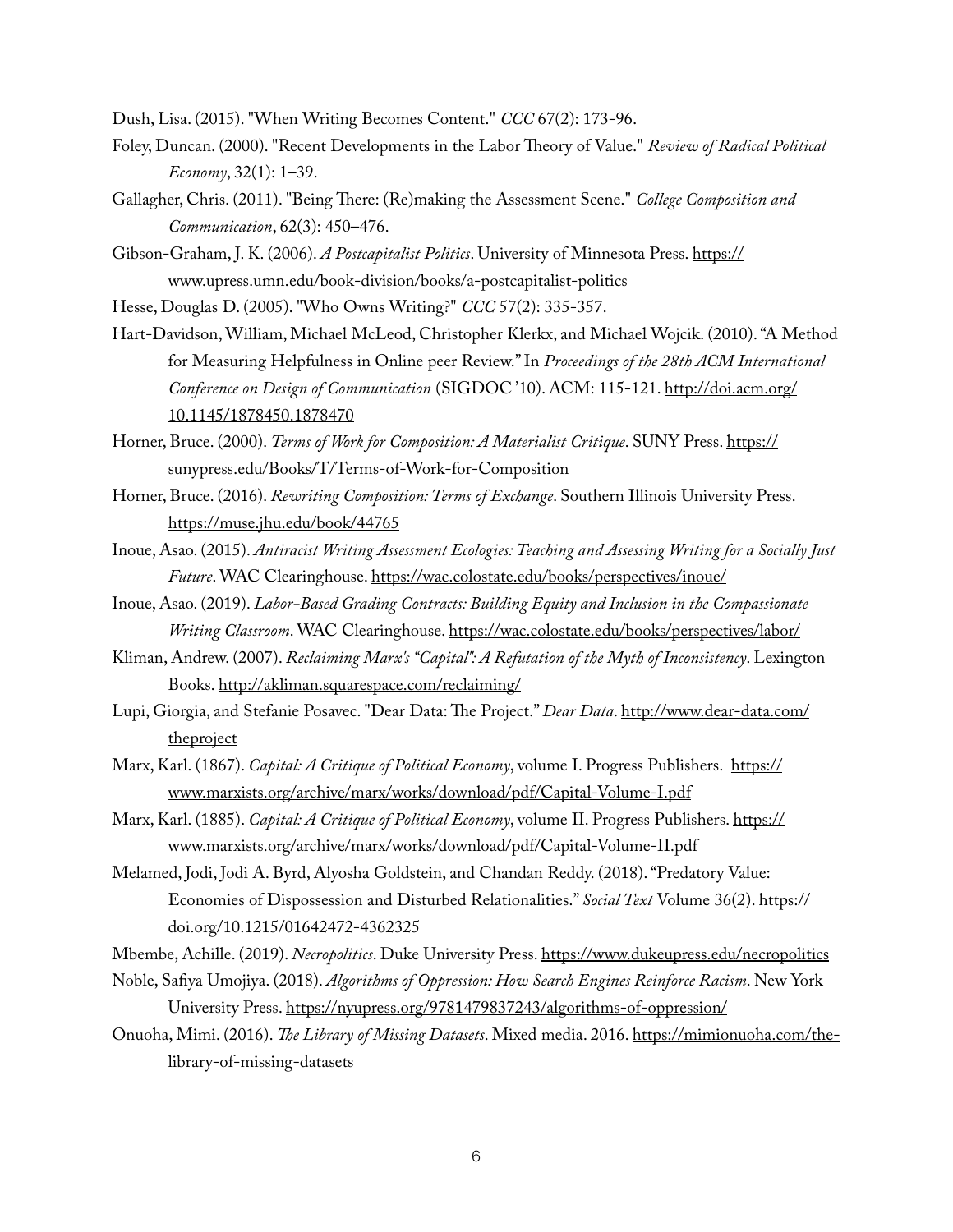Dush, Lisa. (2015). "When Writing Becomes Content." *CCC* 67(2): 173-96.

- Foley, Duncan. (2000). "Recent Developments in the Labor Theory of Value." *Review of Radical Political Economy*, 32(1): 1–39.
- Gallagher, Chris. (2011). "Being There: (Re)making the Assessment Scene." *College Composition and Communication*, 62(3): 450–476.
- Gibson-Graham, J. K. (2006). *A Postcapitalist Politics*. University of Minnesota Press. [https://](https://www.upress.umn.edu/book-division/books/a-postcapitalist-politics) [www.upress.umn.edu/book-division/books/a-postcapitalist-politics](https://www.upress.umn.edu/book-division/books/a-postcapitalist-politics)
- Hesse, Douglas D. (2005). "Who Owns Writing?" *CCC* 57(2): 335-357.
- Hart-Davidson, William, Michael McLeod, Christopher Klerkx, and Michael Wojcik. (2010). "A Method for Measuring Helpfulness in Online peer Review." In *Proceedings of the 28th ACM International Conference on Design of Communication* (SIGDOC '10). ACM: 115-121. [http://doi.acm.org/](http://doi.acm.org/10.1145/1878450.1878470) [10.1145/1878450.1878470](http://doi.acm.org/10.1145/1878450.1878470)
- Horner, Bruce. (2000). *Terms of Work for Composition: A Materialist Critique*. SUNY Press. [https://](https://sunypress.edu/Books/T/Terms-of-Work-for-Composition) [sunypress.edu/Books/T/Terms-of-Work-for-Composition](https://sunypress.edu/Books/T/Terms-of-Work-for-Composition)
- Horner, Bruce. (2016). *Rewriting Composition: Terms of Exchange*. Southern Illinois University Press. <https://muse.jhu.edu/book/44765>
- Inoue, Asao. (2015). *Antiracist Writing Assessment Ecologies: Teaching and Assessing Writing for a Socially Just Future*. WAC Clearinghouse. <https://wac.colostate.edu/books/perspectives/inoue/>
- Inoue, Asao. (2019). *Labor-Based Grading Contracts: Building Equity and Inclusion in the Compassionate Writing Classroom*. WAC Clearinghouse.<https://wac.colostate.edu/books/perspectives/labor/>
- Kliman, Andrew. (2007). *Reclaiming Marx's "Capital": A Refutation of the Myth of Inconsistency*. Lexington Books.<http://akliman.squarespace.com/reclaiming/>
- Lupi, Giorgia, and Stefanie Posavec. "Dear Data: The Project." *Dear Data*. [http://www.dear-data.com/](http://www.dear-data.com/theproject) [theproject](http://www.dear-data.com/theproject)
- Marx, Karl. (1867). *Capital: A Critique of Political Economy*, volume I. Progress Publishers. [https://](https://www.marxists.org/archive/marx/works/download/pdf/Capital-Volume-I.pdf) [www.marxists.org/archive/marx/works/download/pdf/Capital-Volume-I.pdf](https://www.marxists.org/archive/marx/works/download/pdf/Capital-Volume-I.pdf)
- Marx, Karl. (1885). *Capital: A Critique of Political Economy*, volume II. Progress Publishers. [https://](https://www.marxists.org/archive/marx/works/download/pdf/Capital-Volume-II.pdf) [www.marxists.org/archive/marx/works/download/pdf/Capital-Volume-II.pdf](https://www.marxists.org/archive/marx/works/download/pdf/Capital-Volume-II.pdf)
- Melamed, Jodi, Jodi A. Byrd, Alyosha Goldstein, and Chandan Reddy. (2018). "Predatory Value: Economies of Dispossession and Disturbed Relationalities." *Social Text* Volume 36(2). https:// doi.org/10.1215/01642472-4362325

Mbembe, Achille. (2019). *Necropolitics*. Duke University Press. <https://www.dukeupress.edu/necropolitics>

- Noble, Safiya Umojiya. (2018). *Algorithms of Oppression: How Search Engines Reinforce Racism*. New York University Press. <https://nyupress.org/9781479837243/algorithms-of-oppression/>
- Onuoha, Mimi. (2016). *The Library of Missing Datasets*. Mixed media. 2016. [https://mimionuoha.com/the](https://mimionuoha.com/the-library-of-missing-datasets)[library-of-missing-datasets](https://mimionuoha.com/the-library-of-missing-datasets)